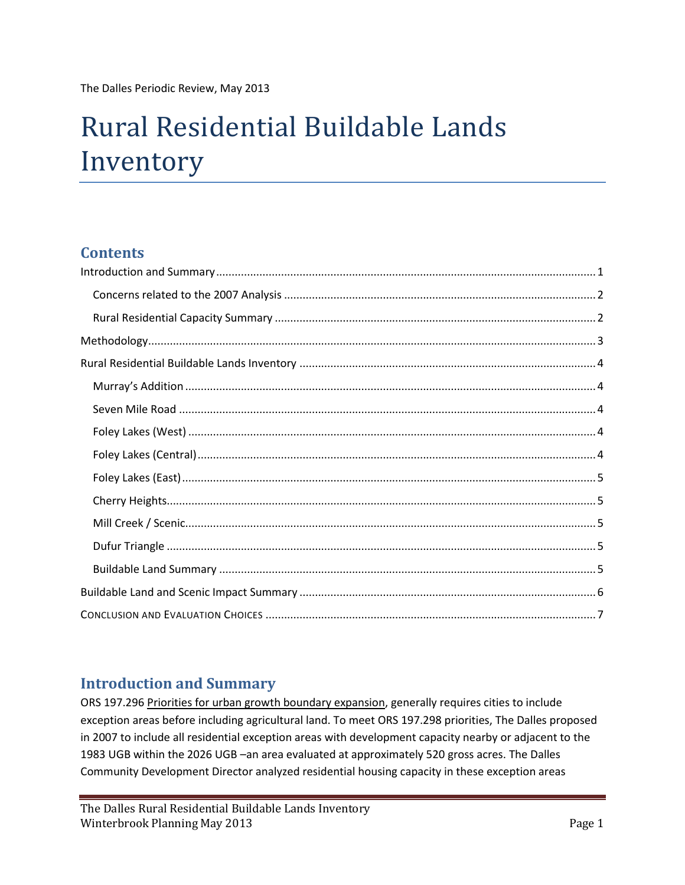The Dalles Periodic Review, May 2013

# Rural Residential Buildable Lands Inventory

# **Contents**

# <span id="page-0-0"></span>**Introduction and Summary**

ORS 197.296 Priorities for urban growth boundary expansion, generally requires cities to include exception areas before including agricultural land. To meet ORS 197.298 priorities, The Dalles proposed in 2007 to include all residential exception areas with development capacity nearby or adjacent to the 1983 UGB within the 2026 UGB –an area evaluated at approximately 520 gross acres. The Dalles Community Development Director analyzed residential housing capacity in these exception areas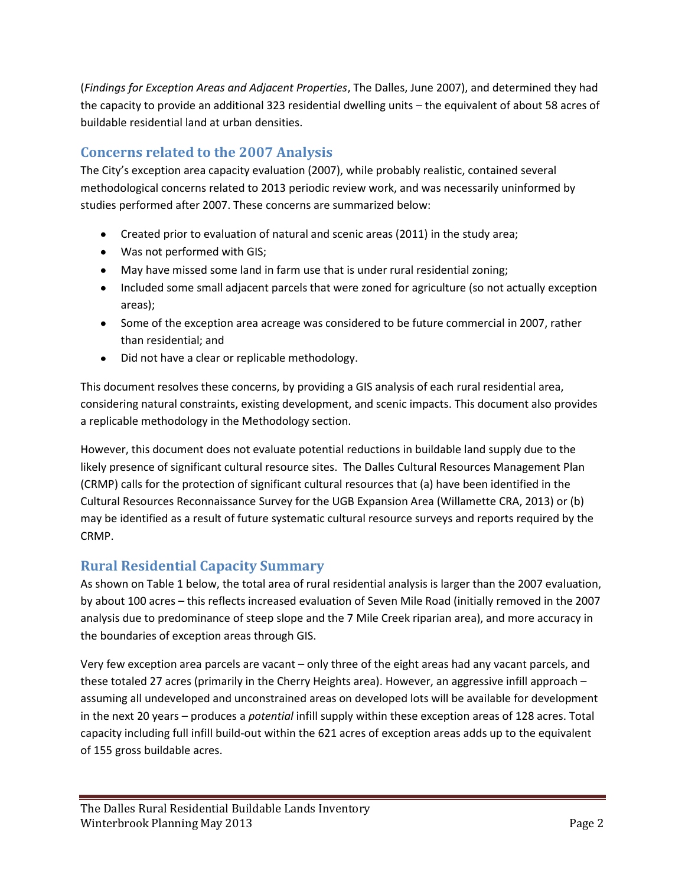(*Findings for Exception Areas and Adjacent Properties*, The Dalles, June 2007), and determined they had the capacity to provide an additional 323 residential dwelling units – the equivalent of about 58 acres of buildable residential land at urban densities.

# <span id="page-1-0"></span>**Concerns related to the 2007 Analysis**

The City's exception area capacity evaluation (2007), while probably realistic, contained several methodological concerns related to 2013 periodic review work, and was necessarily uninformed by studies performed after 2007. These concerns are summarized below:

- Created prior to evaluation of natural and scenic areas (2011) in the study area;
- Was not performed with GIS;
- May have missed some land in farm use that is under rural residential zoning;
- Included some small adjacent parcels that were zoned for agriculture (so not actually exception areas);
- Some of the exception area acreage was considered to be future commercial in 2007, rather than residential; and
- Did not have a clear or replicable methodology.

This document resolves these concerns, by providing a GIS analysis of each rural residential area, considering natural constraints, existing development, and scenic impacts. This document also provides a replicable methodology in the Methodology section.

However, this document does not evaluate potential reductions in buildable land supply due to the likely presence of significant cultural resource sites. The Dalles Cultural Resources Management Plan (CRMP) calls for the protection of significant cultural resources that (a) have been identified in the Cultural Resources Reconnaissance Survey for the UGB Expansion Area (Willamette CRA, 2013) or (b) may be identified as a result of future systematic cultural resource surveys and reports required by the CRMP.

# <span id="page-1-1"></span>**Rural Residential Capacity Summary**

As shown on Table 1 below, the total area of rural residential analysis is larger than the 2007 evaluation, by about 100 acres – this reflects increased evaluation of Seven Mile Road (initially removed in the 2007 analysis due to predominance of steep slope and the 7 Mile Creek riparian area), and more accuracy in the boundaries of exception areas through GIS.

Very few exception area parcels are vacant – only three of the eight areas had any vacant parcels, and these totaled 27 acres (primarily in the Cherry Heights area). However, an aggressive infill approach – assuming all undeveloped and unconstrained areas on developed lots will be available for development in the next 20 years – produces a *potential* infill supply within these exception areas of 128 acres. Total capacity including full infill build-out within the 621 acres of exception areas adds up to the equivalent of 155 gross buildable acres.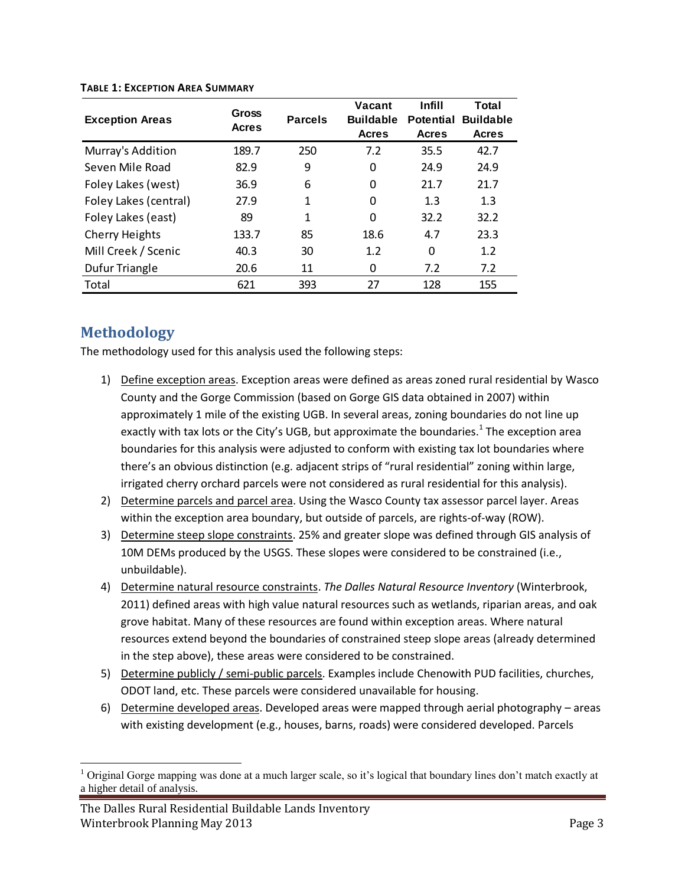| <b>Exception Areas</b> | Gross<br><b>Acres</b> | <b>Parcels</b> | Vacant<br><b>Buildable</b><br><b>Acres</b> | <b>Infill</b><br><b>Potential</b><br><b>Acres</b> | Total<br><b>Buildable</b><br><b>Acres</b> |
|------------------------|-----------------------|----------------|--------------------------------------------|---------------------------------------------------|-------------------------------------------|
| Murray's Addition      | 189.7                 | 250            | 7.2                                        | 35.5                                              | 42.7                                      |
| Seven Mile Road        | 82.9                  | 9              | 0                                          | 24.9                                              | 24.9                                      |
| Foley Lakes (west)     | 36.9                  | 6              | $\Omega$                                   | 21.7                                              | 21.7                                      |
| Foley Lakes (central)  | 27.9                  | 1              | $\Omega$                                   | 1.3                                               | 1.3                                       |
| Foley Lakes (east)     | 89                    | 1              | 0                                          | 32.2                                              | 32.2                                      |
| <b>Cherry Heights</b>  | 133.7                 | 85             | 18.6                                       | 4.7                                               | 23.3                                      |
| Mill Creek / Scenic    | 40.3                  | 30             | 1.2                                        | $\Omega$                                          | 1.2                                       |
| Dufur Triangle         | 20.6                  | 11             | 0                                          | 7.2                                               | 7.2                                       |
| Total                  | 621                   | 393            | 27                                         | 128                                               | 155                                       |

#### **TABLE 1: EXCEPTION AREA SUMMARY**

# <span id="page-2-0"></span>**Methodology**

 $\overline{\phantom{a}}$ 

The methodology used for this analysis used the following steps:

- 1) Define exception areas. Exception areas were defined as areas zoned rural residential by Wasco County and the Gorge Commission (based on Gorge GIS data obtained in 2007) within approximately 1 mile of the existing UGB. In several areas, zoning boundaries do not line up exactly with tax lots or the City's UGB, but approximate the boundaries.<sup>1</sup> The exception area boundaries for this analysis were adjusted to conform with existing tax lot boundaries where there's an obvious distinction (e.g. adjacent strips of "rural residential" zoning within large, irrigated cherry orchard parcels were not considered as rural residential for this analysis).
- 2) Determine parcels and parcel area. Using the Wasco County tax assessor parcel layer. Areas within the exception area boundary, but outside of parcels, are rights-of-way (ROW).
- 3) Determine steep slope constraints. 25% and greater slope was defined through GIS analysis of 10M DEMs produced by the USGS. These slopes were considered to be constrained (i.e., unbuildable).
- 4) Determine natural resource constraints. *The Dalles Natural Resource Inventory* (Winterbrook, 2011) defined areas with high value natural resources such as wetlands, riparian areas, and oak grove habitat. Many of these resources are found within exception areas. Where natural resources extend beyond the boundaries of constrained steep slope areas (already determined in the step above), these areas were considered to be constrained.
- 5) Determine publicly / semi-public parcels. Examples include Chenowith PUD facilities, churches, ODOT land, etc. These parcels were considered unavailable for housing.
- 6) Determine developed areas. Developed areas were mapped through aerial photography areas with existing development (e.g., houses, barns, roads) were considered developed. Parcels

<sup>&</sup>lt;sup>1</sup> Original Gorge mapping was done at a much larger scale, so it's logical that boundary lines don't match exactly at a higher detail of analysis.

The Dalles Rural Residential Buildable Lands Inventory Winterbrook Planning May 2013 **Page 3** Page 3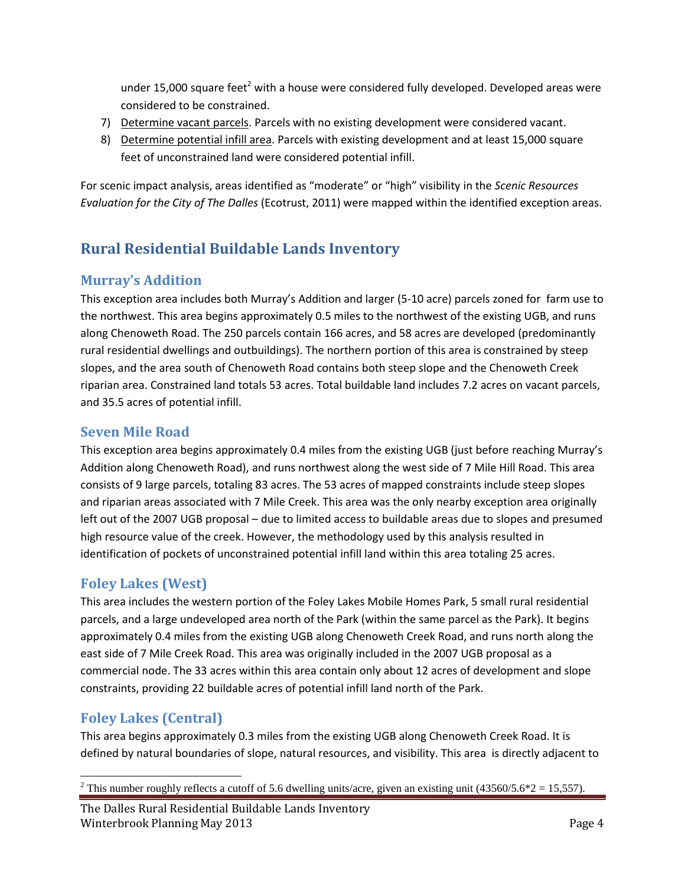under 15,000 square feet<sup>2</sup> with a house were considered fully developed. Developed areas were considered to be constrained.

- 7) Determine vacant parcels. Parcels with no existing development were considered vacant.
- 8) Determine potential infill area. Parcels with existing development and at least 15,000 square feet of unconstrained land were considered potential infill.

For scenic impact analysis, areas identified as "moderate" or "high" visibility in the *Scenic Resources Evaluation for the City of The Dalles* (Ecotrust, 2011) were mapped within the identified exception areas.

# <span id="page-3-0"></span>**Rural Residential Buildable Lands Inventory**

## <span id="page-3-1"></span>**Murray's Addition**

This exception area includes both Murray's Addition and larger (5-10 acre) parcels zoned for farm use to the northwest. This area begins approximately 0.5 miles to the northwest of the existing UGB, and runs along Chenoweth Road. The 250 parcels contain 166 acres, and 58 acres are developed (predominantly rural residential dwellings and outbuildings). The northern portion of this area is constrained by steep slopes, and the area south of Chenoweth Road contains both steep slope and the Chenoweth Creek riparian area. Constrained land totals 53 acres. Total buildable land includes 7.2 acres on vacant parcels, and 35.5 acres of potential infill.

## <span id="page-3-2"></span>**Seven Mile Road**

This exception area begins approximately 0.4 miles from the existing UGB (just before reaching Murray's Addition along Chenoweth Road), and runs northwest along the west side of 7 Mile Hill Road. This area consists of 9 large parcels, totaling 83 acres. The 53 acres of mapped constraints include steep slopes and riparian areas associated with 7 Mile Creek. This area was the only nearby exception area originally left out of the 2007 UGB proposal – due to limited access to buildable areas due to slopes and presumed high resource value of the creek. However, the methodology used by this analysis resulted in identification of pockets of unconstrained potential infill land within this area totaling 25 acres.

# <span id="page-3-3"></span>**Foley Lakes (West)**

This area includes the western portion of the Foley Lakes Mobile Homes Park, 5 small rural residential parcels, and a large undeveloped area north of the Park (within the same parcel as the Park). It begins approximately 0.4 miles from the existing UGB along Chenoweth Creek Road, and runs north along the east side of 7 Mile Creek Road. This area was originally included in the 2007 UGB proposal as a commercial node. The 33 acres within this area contain only about 12 acres of development and slope constraints, providing 22 buildable acres of potential infill land north of the Park.

# <span id="page-3-4"></span>**Foley Lakes (Central)**

This area begins approximately 0.3 miles from the existing UGB along Chenoweth Creek Road. It is defined by natural boundaries of slope, natural resources, and visibility. This area is directly adjacent to

 $\overline{\phantom{a}}$ <sup>2</sup> This number roughly reflects a cutoff of 5.6 dwelling units/acre, given an existing unit (43560/5.6\*2 = 15,557).

The Dalles Rural Residential Buildable Lands Inventory Winterbrook Planning May 2013 **Page 4** Page 4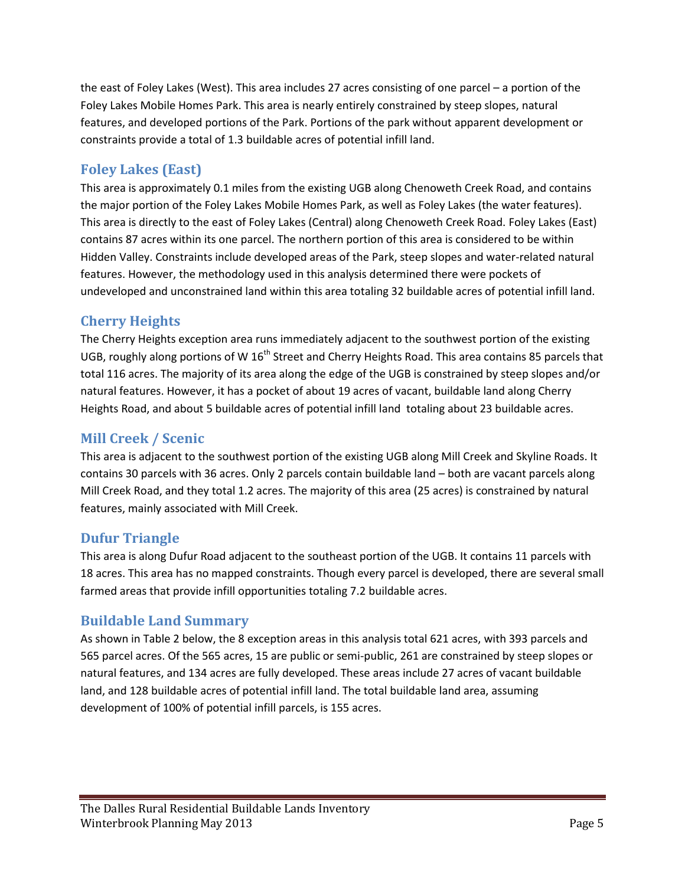the east of Foley Lakes (West). This area includes 27 acres consisting of one parcel – a portion of the Foley Lakes Mobile Homes Park. This area is nearly entirely constrained by steep slopes, natural features, and developed portions of the Park. Portions of the park without apparent development or constraints provide a total of 1.3 buildable acres of potential infill land.

# <span id="page-4-0"></span>**Foley Lakes (East)**

This area is approximately 0.1 miles from the existing UGB along Chenoweth Creek Road, and contains the major portion of the Foley Lakes Mobile Homes Park, as well as Foley Lakes (the water features). This area is directly to the east of Foley Lakes (Central) along Chenoweth Creek Road. Foley Lakes (East) contains 87 acres within its one parcel. The northern portion of this area is considered to be within Hidden Valley. Constraints include developed areas of the Park, steep slopes and water-related natural features. However, the methodology used in this analysis determined there were pockets of undeveloped and unconstrained land within this area totaling 32 buildable acres of potential infill land.

## <span id="page-4-1"></span>**Cherry Heights**

The Cherry Heights exception area runs immediately adjacent to the southwest portion of the existing UGB, roughly along portions of W  $16<sup>th</sup>$  Street and Cherry Heights Road. This area contains 85 parcels that total 116 acres. The majority of its area along the edge of the UGB is constrained by steep slopes and/or natural features. However, it has a pocket of about 19 acres of vacant, buildable land along Cherry Heights Road, and about 5 buildable acres of potential infill land totaling about 23 buildable acres.

#### <span id="page-4-2"></span>**Mill Creek / Scenic**

This area is adjacent to the southwest portion of the existing UGB along Mill Creek and Skyline Roads. It contains 30 parcels with 36 acres. Only 2 parcels contain buildable land – both are vacant parcels along Mill Creek Road, and they total 1.2 acres. The majority of this area (25 acres) is constrained by natural features, mainly associated with Mill Creek.

#### <span id="page-4-3"></span>**Dufur Triangle**

This area is along Dufur Road adjacent to the southeast portion of the UGB. It contains 11 parcels with 18 acres. This area has no mapped constraints. Though every parcel is developed, there are several small farmed areas that provide infill opportunities totaling 7.2 buildable acres.

#### <span id="page-4-4"></span>**Buildable Land Summary**

As shown in Table 2 below, the 8 exception areas in this analysis total 621 acres, with 393 parcels and 565 parcel acres. Of the 565 acres, 15 are public or semi-public, 261 are constrained by steep slopes or natural features, and 134 acres are fully developed. These areas include 27 acres of vacant buildable land, and 128 buildable acres of potential infill land. The total buildable land area, assuming development of 100% of potential infill parcels, is 155 acres.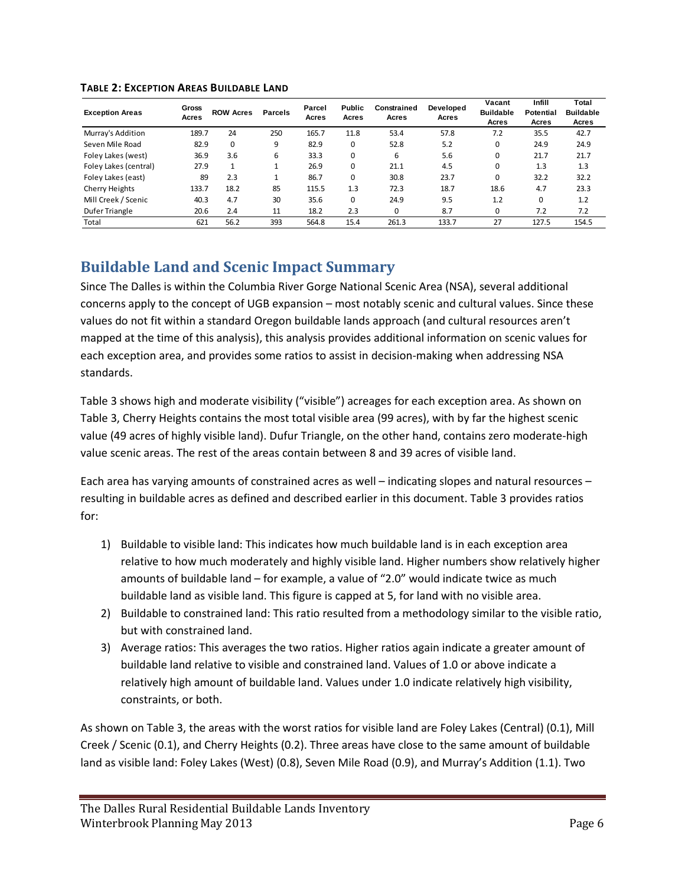| <b>Exception Areas</b> | Gross<br>Acres | <b>ROW Acres</b> | Parcels | Parcel<br>Acres | <b>Public</b><br>Acres | Constrained<br>Acres | Developed<br>Acres | Vacant<br><b>Buildable</b><br>Acres | Infill<br><b>Potential</b><br>Acres | Total<br><b>Buildable</b><br>Acres |
|------------------------|----------------|------------------|---------|-----------------|------------------------|----------------------|--------------------|-------------------------------------|-------------------------------------|------------------------------------|
| Murray's Addition      | 189.7          | 24               | 250     | 165.7           | 11.8                   | 53.4                 | 57.8               | 7.2                                 | 35.5                                | 42.7                               |
| Seven Mile Road        | 82.9           | 0                | 9       | 82.9            | 0                      | 52.8                 | 5.2                | 0                                   | 24.9                                | 24.9                               |
| Foley Lakes (west)     | 36.9           | 3.6              | 6       | 33.3            | 0                      | 6                    | 5.6                | $\Omega$                            | 21.7                                | 21.7                               |
| Foley Lakes (central)  | 27.9           |                  |         | 26.9            | 0                      | 21.1                 | 4.5                | $\Omega$                            | 1.3                                 | 1.3                                |
| Foley Lakes (east)     | 89             | 2.3              |         | 86.7            | $\Omega$               | 30.8                 | 23.7               | $\Omega$                            | 32.2                                | 32.2                               |
| Cherry Heights         | 133.7          | 18.2             | 85      | 115.5           | 1.3                    | 72.3                 | 18.7               | 18.6                                | 4.7                                 | 23.3                               |
| Mill Creek / Scenic    | 40.3           | 4.7              | 30      | 35.6            | 0                      | 24.9                 | 9.5                | 1.2                                 | 0                                   | 1.2                                |
| Dufer Triangle         | 20.6           | 2.4              | 11      | 18.2            | 2.3                    |                      | 8.7                | $\Omega$                            | 7.2                                 | 7.2                                |
| Total                  | 621            | 56.2             | 393     | 564.8           | 15.4                   | 261.3                | 133.7              | 27                                  | 127.5                               | 154.5                              |

#### **TABLE 2: EXCEPTION AREAS BUILDABLE LAND**

# <span id="page-5-0"></span>**Buildable Land and Scenic Impact Summary**

Since The Dalles is within the Columbia River Gorge National Scenic Area (NSA), several additional concerns apply to the concept of UGB expansion – most notably scenic and cultural values. Since these values do not fit within a standard Oregon buildable lands approach (and cultural resources aren't mapped at the time of this analysis), this analysis provides additional information on scenic values for each exception area, and provides some ratios to assist in decision-making when addressing NSA standards.

Table 3 shows high and moderate visibility ("visible") acreages for each exception area. As shown on Table 3, Cherry Heights contains the most total visible area (99 acres), with by far the highest scenic value (49 acres of highly visible land). Dufur Triangle, on the other hand, contains zero moderate-high value scenic areas. The rest of the areas contain between 8 and 39 acres of visible land.

Each area has varying amounts of constrained acres as well – indicating slopes and natural resources – resulting in buildable acres as defined and described earlier in this document. Table 3 provides ratios for:

- 1) Buildable to visible land: This indicates how much buildable land is in each exception area relative to how much moderately and highly visible land. Higher numbers show relatively higher amounts of buildable land – for example, a value of "2.0" would indicate twice as much buildable land as visible land. This figure is capped at 5, for land with no visible area.
- 2) Buildable to constrained land: This ratio resulted from a methodology similar to the visible ratio, but with constrained land.
- 3) Average ratios: This averages the two ratios. Higher ratios again indicate a greater amount of buildable land relative to visible and constrained land. Values of 1.0 or above indicate a relatively high amount of buildable land. Values under 1.0 indicate relatively high visibility, constraints, or both.

As shown on Table 3, the areas with the worst ratios for visible land are Foley Lakes (Central) (0.1), Mill Creek / Scenic (0.1), and Cherry Heights (0.2). Three areas have close to the same amount of buildable land as visible land: Foley Lakes (West) (0.8), Seven Mile Road (0.9), and Murray's Addition (1.1). Two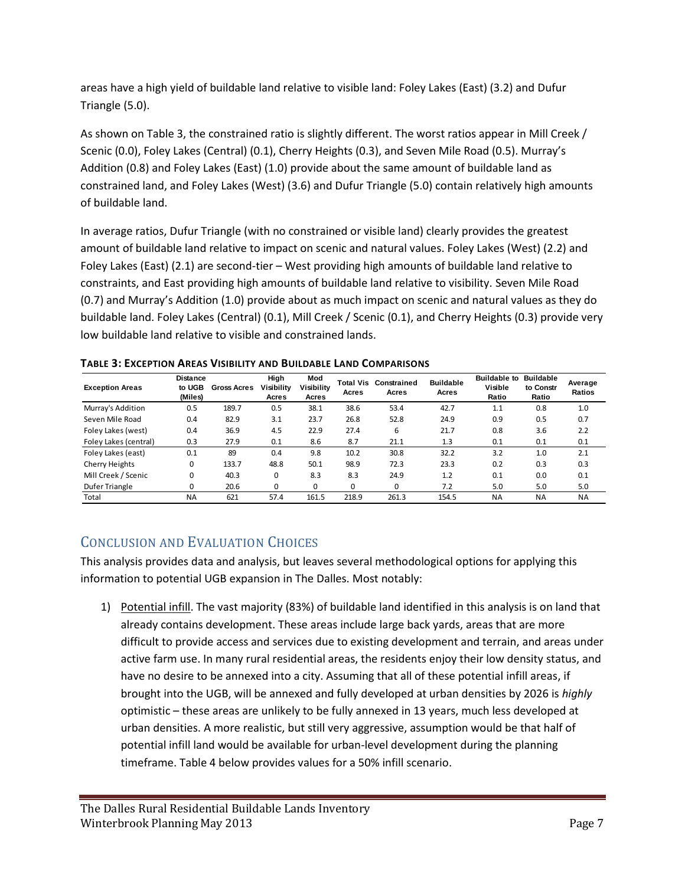areas have a high yield of buildable land relative to visible land: Foley Lakes (East) (3.2) and Dufur Triangle (5.0).

As shown on Table 3, the constrained ratio is slightly different. The worst ratios appear in Mill Creek / Scenic (0.0), Foley Lakes (Central) (0.1), Cherry Heights (0.3), and Seven Mile Road (0.5). Murray's Addition (0.8) and Foley Lakes (East) (1.0) provide about the same amount of buildable land as constrained land, and Foley Lakes (West) (3.6) and Dufur Triangle (5.0) contain relatively high amounts of buildable land.

In average ratios, Dufur Triangle (with no constrained or visible land) clearly provides the greatest amount of buildable land relative to impact on scenic and natural values. Foley Lakes (West) (2.2) and Foley Lakes (East) (2.1) are second-tier – West providing high amounts of buildable land relative to constraints, and East providing high amounts of buildable land relative to visibility. Seven Mile Road (0.7) and Murray's Addition (1.0) provide about as much impact on scenic and natural values as they do buildable land. Foley Lakes (Central) (0.1), Mill Creek / Scenic (0.1), and Cherry Heights (0.3) provide very low buildable land relative to visible and constrained lands.

| <b>Exception Areas</b> | <b>Distance</b><br>to UGB<br>(Miles) | <b>Gross Acres</b> | High<br><b>Visibility</b><br>Acres | Mod<br>Visibility<br>Acres | <b>Total Vis</b><br>Acres | Constrained<br>Acres | <b>Buildable</b><br>Acres | <b>Buildable to</b><br><b>Visible</b><br>Ratio | <b>Buildable</b><br>to Constr<br>Ratio | Average<br>Ratios |
|------------------------|--------------------------------------|--------------------|------------------------------------|----------------------------|---------------------------|----------------------|---------------------------|------------------------------------------------|----------------------------------------|-------------------|
| Murray's Addition      | 0.5                                  | 189.7              | 0.5                                | 38.1                       | 38.6                      | 53.4                 | 42.7                      | 1.1                                            | 0.8                                    | 1.0               |
| Seven Mile Road        | 0.4                                  | 82.9               | 3.1                                | 23.7                       | 26.8                      | 52.8                 | 24.9                      | 0.9                                            | 0.5                                    | 0.7               |
| Foley Lakes (west)     | 0.4                                  | 36.9               | 4.5                                | 22.9                       | 27.4                      | 6                    | 21.7                      | 0.8                                            | 3.6                                    | 2.2               |
| Foley Lakes (central)  | 0.3                                  | 27.9               | 0.1                                | 8.6                        | 8.7                       | 21.1                 | 1.3                       | 0.1                                            | 0.1                                    | 0.1               |
| Foley Lakes (east)     | 0.1                                  | 89                 | 0.4                                | 9.8                        | 10.2                      | 30.8                 | 32.2                      | 3.2                                            | 1.0                                    | 2.1               |
| Cherry Heights         | $\mathbf 0$                          | 133.7              | 48.8                               | 50.1                       | 98.9                      | 72.3                 | 23.3                      | 0.2                                            | 0.3                                    | 0.3               |
| Mill Creek / Scenic    | 0                                    | 40.3               | $\Omega$                           | 8.3                        | 8.3                       | 24.9                 | 1.2                       | 0.1                                            | 0.0                                    | 0.1               |
| Dufer Triangle         | $\Omega$                             | 20.6               | $\Omega$                           | $\Omega$                   | 0                         | 0                    | 7.2                       | 5.0                                            | 5.0                                    | 5.0               |
| Total                  | <b>NA</b>                            | 621                | 57.4                               | 161.5                      | 218.9                     | 261.3                | 154.5                     | <b>NA</b>                                      | <b>NA</b>                              | <b>NA</b>         |
|                        |                                      |                    |                                    |                            |                           |                      |                           |                                                |                                        |                   |

**TABLE 3: EXCEPTION AREAS VISIBILITY AND BUILDABLE LAND COMPARISONS**

# <span id="page-6-0"></span>CONCLUSION AND EVALUATION CHOICES

This analysis provides data and analysis, but leaves several methodological options for applying this information to potential UGB expansion in The Dalles. Most notably:

1) Potential infill. The vast majority (83%) of buildable land identified in this analysis is on land that already contains development. These areas include large back yards, areas that are more difficult to provide access and services due to existing development and terrain, and areas under active farm use. In many rural residential areas, the residents enjoy their low density status, and have no desire to be annexed into a city. Assuming that all of these potential infill areas, if brought into the UGB, will be annexed and fully developed at urban densities by 2026 is *highly* optimistic – these areas are unlikely to be fully annexed in 13 years, much less developed at urban densities. A more realistic, but still very aggressive, assumption would be that half of potential infill land would be available for urban-level development during the planning timeframe. Table 4 below provides values for a 50% infill scenario.